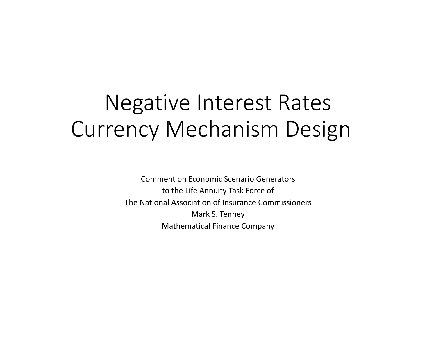# Negative Interest Rates Currency Mechanism Design

Comment on Economic Scenario Generators to the Life Annuity Task Force of The National Association of Insurance Commissioners Mark S. Tenney Mathematical Finance Company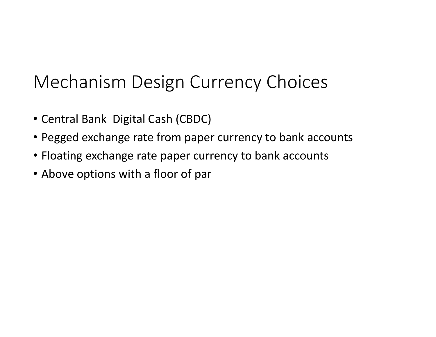# Mechanism Design Currency Choices

- Central Bank Digital Cash (CBDC)
- Pegged exchange rate from paper currency to bank accounts
- Floating exchange rate paper currency to bank accounts
- Above options with <sup>a</sup> floor of par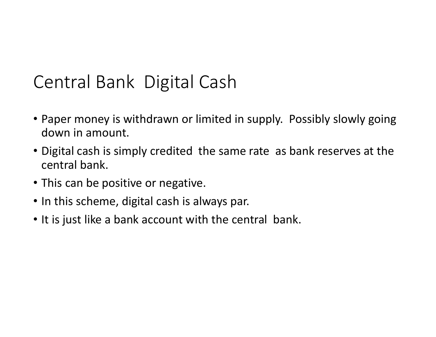### Central Bank Digital Cash

- Paper money is withdrawn or limited in supply. Possibly slowly going down in amount.
- Digital cash is simply credited the same rate as bank reserves at the central bank.
- This can be positive or negative.
- In this scheme, digital cash is always par.
- It is just like <sup>a</sup> bank account with the central bank.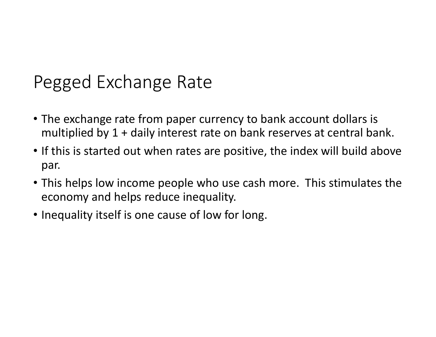#### Pegged Exchange Rate

- The exchange rate from paper currency to bank account dollars is multiplied by 1 <sup>+</sup> daily interest rate on bank reserves at central bank.
- If this is started out when rates are positive, the index will build above par.
- This helps low income people who use cash more. This stimulates the economy and helps reduce inequality.
- Inequality itself is one cause of low for long.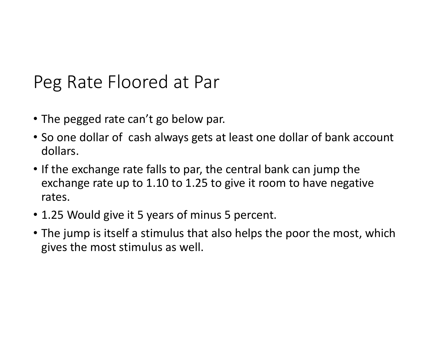#### Peg Rate Floored at Par

- The pegged rate can't go below par.
- So one dollar of cash always gets at least one dollar of bank account dollars.
- If the exchange rate falls to par, the central bank can jump the exchange rate up to 1.10 to 1.25 to give it room to have negative rates.
- 1.25 Would give it 5 years of minus 5 percent.
- The jump is itself <sup>a</sup> stimulus that also helps the poor the most, which gives the most stimulus as well.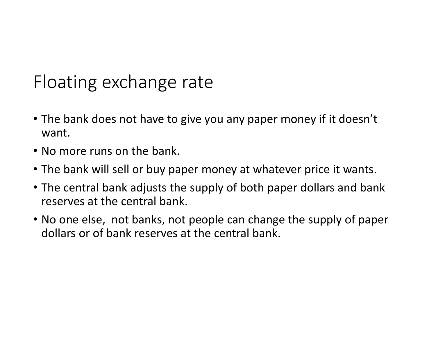# Floating exchange rate

- The bank does not have to give you any paper money if it doesn't want.
- No more runs on the bank.
- The bank will sell or buy paper money at whatever price it wants.
- The central bank adjusts the supply of both paper dollars and bank reserves at the central bank.
- No one else, not banks, not people can change the supply of paper dollars or of bank reserves at the central bank.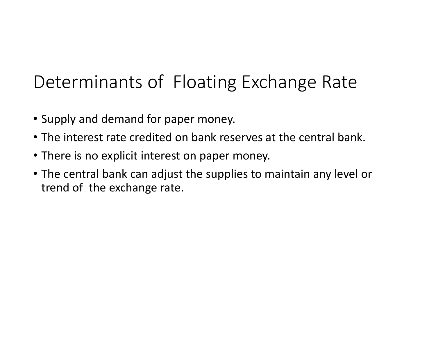# Determinants of Floating Exchange Rate

- Supply and demand for paper money.
- The interest rate credited on bank reserves at the central bank.
- There is no explicit interest on paper money.
- The central bank can adjust the supplies to maintain any level or trend of the exchange rate.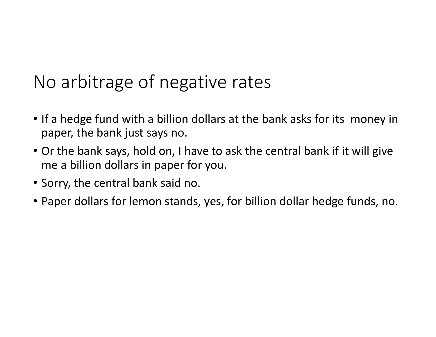# No arbitrage of negative rates

- If <sup>a</sup> hedge fund with <sup>a</sup> billion dollars at the bank asks for its money in paper, the bank just says no.
- Or the bank says, hold on, I have to ask the central bank if it will give me <sup>a</sup> billion dollars in paper for you.
- Sorry, the central bank said no.
- Paper dollars for lemon stands, yes, for billion dollar hedge funds, no.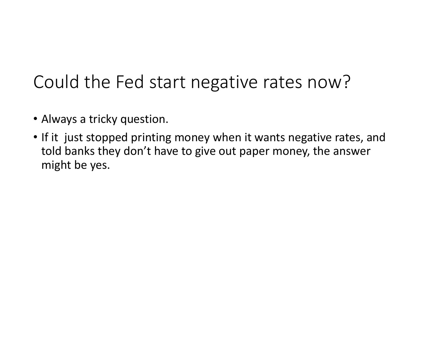# Could the Fed start negative rates now?

- Always <sup>a</sup> tricky question.
- If it just stopped printing money when it wants negative rates, and told banks they don't have to give out paper money, the answer might be yes.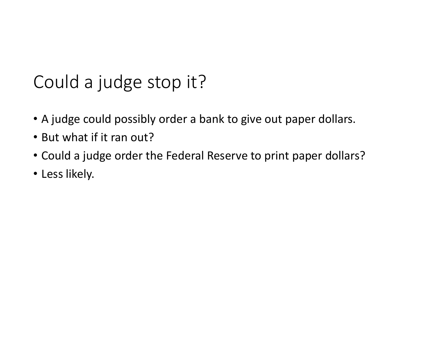# Could <sup>a</sup> judge stop it?

- A judge could possibly order <sup>a</sup> bank to give out paper dollars.
- But what if it ran out?
- Could <sup>a</sup> judge order the Federal Reserve to print paper dollars?
- Less likely.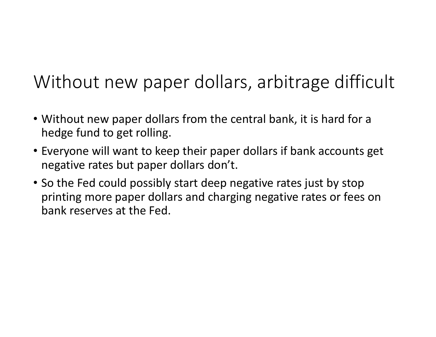# Without new paper dollars, arbitrage difficult

- Without new paper dollars from the central bank, it is hard for <sup>a</sup> hedge fund to get rolling.
- Everyone will want to keep their paper dollars if bank accounts get negative rates but paper dollars don't.
- So the Fed could possibly start deep negative rates just by stop printing more paper dollars and charging negative rates or fees on bank reserves at the Fed.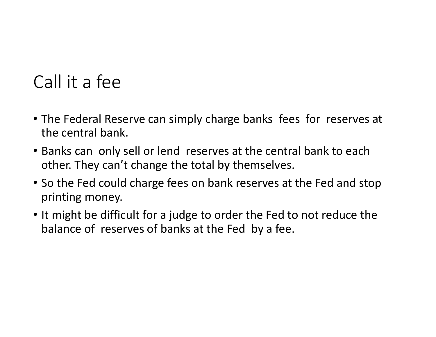# Call it a fee

- The Federal Reserve can simply charge banks fees for reserves at the central bank.
- Banks can only sell or lend reserves at the central bank to each other. They can't change the total by themselves.
- So the Fed could charge fees on bank reserves at the Fed and stop printing money.
- It might be difficult for <sup>a</sup> judge to order the Fed to not reduce the balance of reserves of banks at the Fed by <sup>a</sup> fee.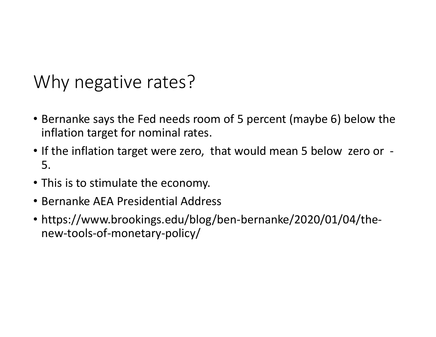#### Why negative rates?

- Bernanke says the Fed needs room of 5 percent (maybe 6) below the inflation target for nominal rates.
- If the inflation target were zero, that would mean 5 below zero or ‐ 5.
- This is to stimulate the economy.
- Bernanke AEA Presidential Address
- https://www.brookings.edu/blog/ben‐bernanke/2020/01/04/the‐ new‐tools‐of‐monetary‐policy/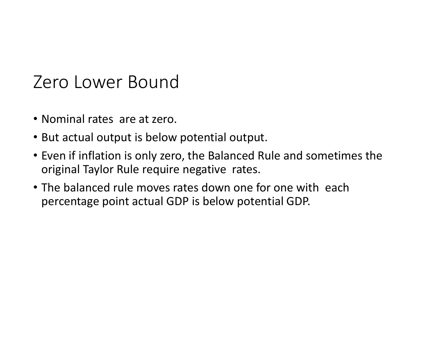#### Zero Lower Bound

- Nominal rates are at zero.
- But actual output is below potential output.
- Even if inflation is only zero, the Balanced Rule and sometimes the original Taylor Rule require negative rates.
- The balanced rule moves rates down one for one with each percentage point actual GDP is below potential GDP.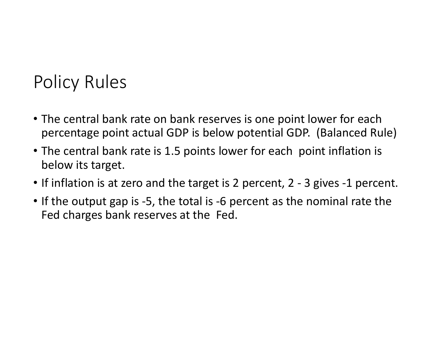### Policy Rules

- The central bank rate on bank reserves is one point lower for each percentage point actual GDP is below potential GDP. (Balanced Rule)
- The central bank rate is 1.5 points lower for each point inflation is below its target.
- If inflation is at zero and the target is 2 percent, 2 ‐ 3 gives ‐1 percent.
- If the output gap is ‐5, the total is ‐6 percent as the nominal rate the Fed charges bank reserves at the Fed.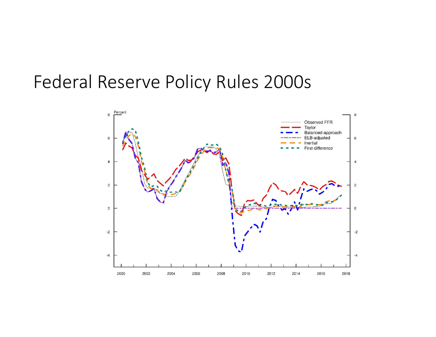#### Federal Reserve Policy Rules 2000s

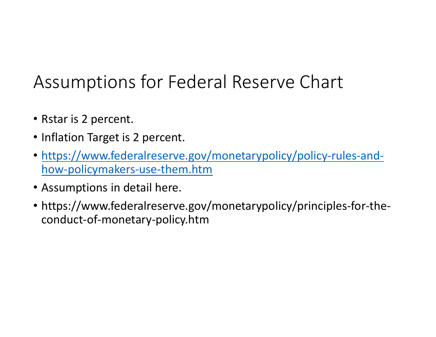# Assumptions for Federal Reserve Chart

- Rstar is 2 percent.
- Inflation Target is 2 percent.
- https://www.federalreserve.gov/monetarypolicy/policy‐rules‐and‐ how‐policymakers‐use‐them.htm
- Assumptions in detail here.
- https://www.federalreserve.gov/monetarypolicy/principles‐for‐the‐ conduct‐of‐monetary‐policy.htm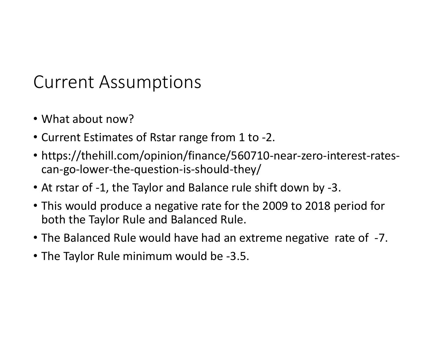#### Current Assumptions

- What about now?
- Current Estimates of Rstar range from 1 to ‐2.
- https://thehill.com/opinion/finance/560710‐near‐zero‐interest‐rates‐ can‐go‐lower‐the‐question‐is‐should‐they/
- At rstar of ‐1, the Taylor and Balance rule shift down by ‐3.
- This would produce <sup>a</sup> negative rate for the 2009 to 2018 period for both the Taylor Rule and Balanced Rule.
- The Balanced Rule would have had an extreme negative rate of ‐7.
- The Taylor Rule minimum would be ‐3.5.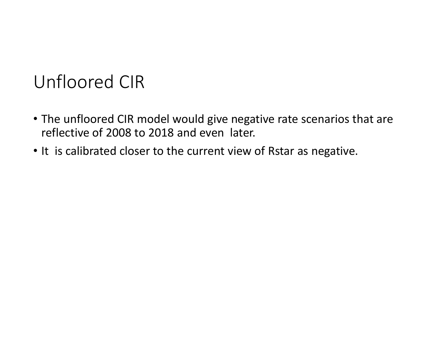#### Unfloored CIR

- The unfloored CIR model would give negative rate scenarios that are reflective of 2008 to 2018 and even later.
- It is calibrated closer to the current view of Rstar as negative.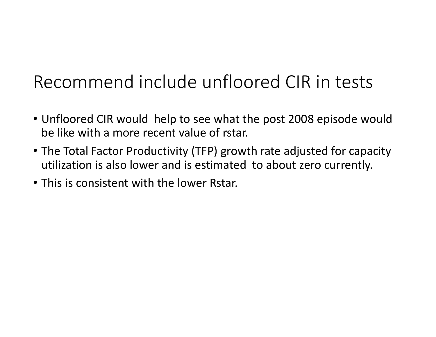# Recommend include unfloored CIR in tests

- Unfloored CIR would help to see what the post 2008 episode would be like with <sup>a</sup> more recent value of rstar.
- The Total Factor Productivity (TFP) growth rate adjusted for capacity utilization is also lower and is estimated to about zero currently.
- This is consistent with the lower Rstar.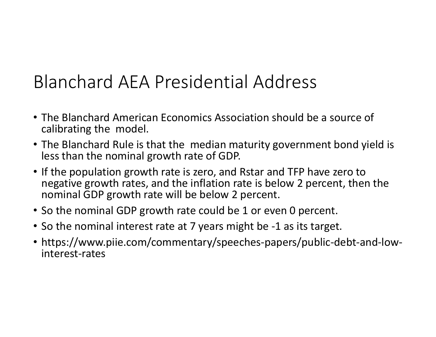# Blanchard AEA Presidential Address

- The Blanchard American Economics Association should be <sup>a</sup> source of calibrating the model.
- The Blanchard Rule is that the median maturity government bond yield is less than the nominal growth rate of GDP.
- If the population growth rate is zero, and Rstar and TFP have zero to negative growth rates, and the inflation rate is below 2 percent, then the nominal GDP growth rate will be below 2 percent.
- So the nominal GDP growth rate could be 1 or even 0 percent.
- So the nominal interest rate at 7 years might be ‐1 as its target.
- https://www.piie.com/commentary/speeches‐papers/public‐debt‐and‐low‐ interest‐rates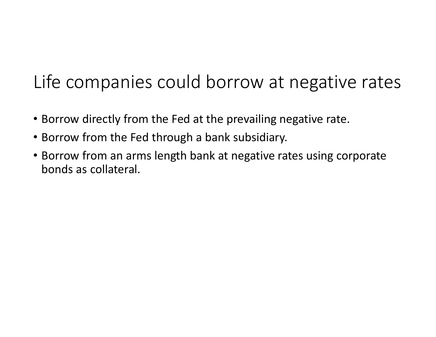# Life companies could borrow at negative rates

- Borrow directly from the Fed at the prevailing negative rate.
- Borrow from the Fed through <sup>a</sup> bank subsidiary.
- Borrow from an arms length bank at negative rates using corporate bonds as collateral.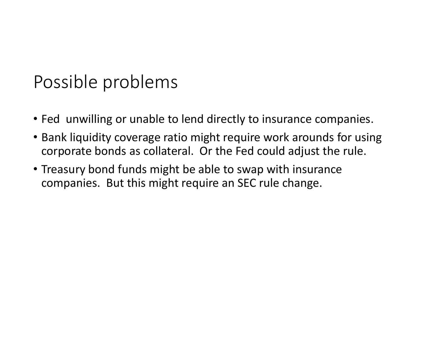#### Possible problems

- Fed unwilling or unable to lend directly to insurance companies.
- Bank liquidity coverage ratio might require work arounds for using corporate bonds as collateral. Or the Fed could adjust the rule.
- Treasury bond funds might be able to swap with insurance companies. But this might require an SEC rule change.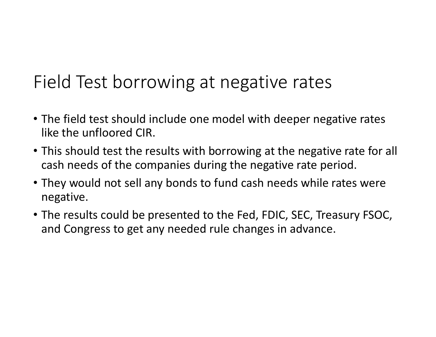# Field Test borrowing at negative rates

- The field test should include one model with deeper negative rates like the unfloored CIR.
- This should test the results with borrowing at the negative rate for all cash needs of the companies during the negative rate period.
- They would not sell any bonds to fund cash needs while rates were negative.
- The results could be presented to the Fed, FDIC, SEC, Treasury FSOC, and Congress to get any needed rule changes in advance.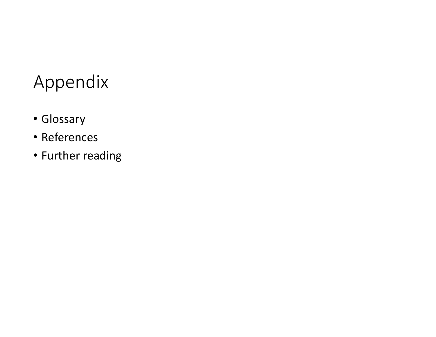# Appendix

- Glossary
- References
- Further reading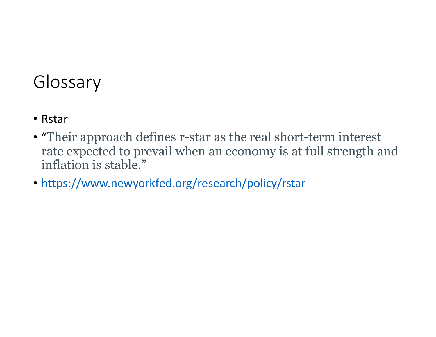### Glossary

- Rstar
- "Their approach defines r-star as the real short-term interest rate expected to prevail when an economy is at full strength and inflation is stable."
- https://www.newyorkfed.org/research/policy/rstar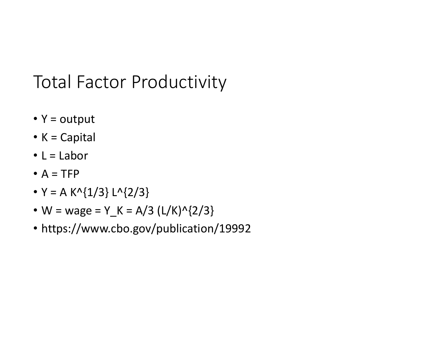# Total Factor Productivity

- Y <sup>=</sup> output
- K = Capital
- L = Labor
- $A = TFP$
- Y = A K^{1/3} L^{2/3}
- W <sup>=</sup> wage <sup>=</sup> Y\_K <sup>=</sup> A/3 (L/K)^{2/3}
- https://www.cbo.gov/publication/19992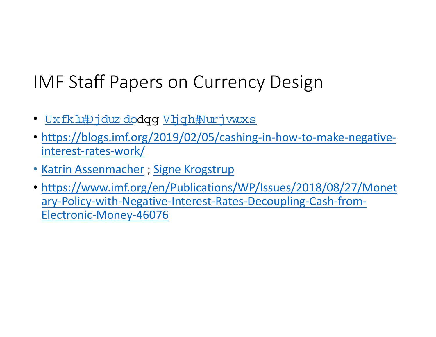# IMF Staff Papers on Currency Design

- <u>• Uxfkl#Djduzdo</u>dqg <u>Vljqh#Nurjvwuxs</u>
- https://blogs.imf.org/2019/02/05/cashing-in-how-to-make-negativeinterest‐rates‐work/
- Katrin Assenmacher ; Signe Krogstrup
- https://www.imf.org/en/Publications/WP/Issues/2018/08/27/Monet ary‐Policy‐with‐Negative‐Interest‐Rates‐Decoupling‐Cash‐from‐ Electronic‐Money‐46076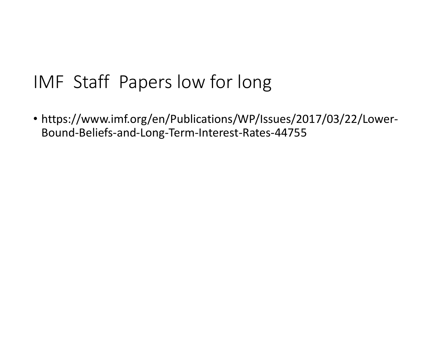### IMF Staff Papers low for long

• https://www.imf.org/en/Publications/WP/Issues/2017/03/22/Lower‐ Bound‐Beliefs‐and‐Long‐Term‐Interest‐Rates‐44755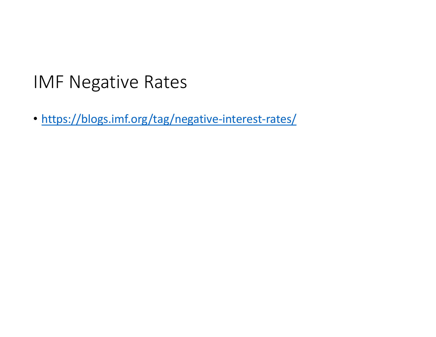#### IMF Negative Rates

• https://blogs.imf.org/tag/negative-interest-rates/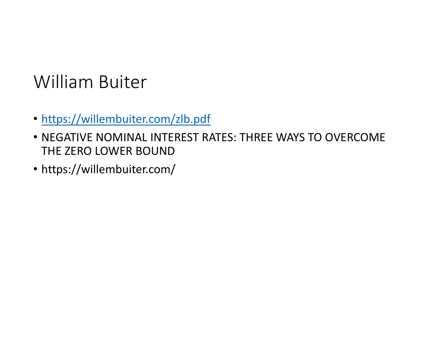# William Buiter

- https://willembuiter.com/zlb.pdf
- NEGATIVE NOMINAL INTEREST RATES: THREE WAYS TO OVERCOME THE ZERO LOWER BOUND
- https://willembuiter.com/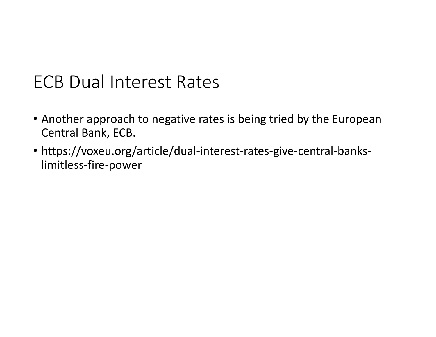#### ECB Dual Interest Rates

- Another approach to negative rates is being tried by the European Central Bank, ECB.
- https://voxeu.org/article/dual‐interest‐rates‐give‐central‐banks‐ limitless‐fire‐power